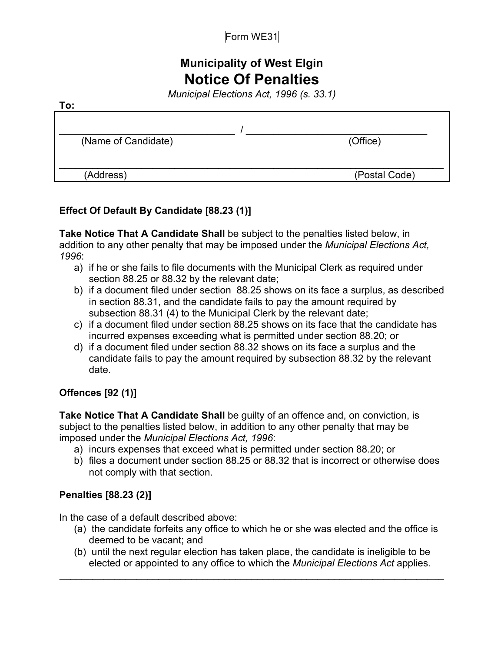# **Municipality of West Elgin Notice Of Penalties**

*Municipal Elections Act, 1996 (s. 33.1)*

| (Name of Candidate) | (Office)      |
|---------------------|---------------|
| (Address)           | (Postal Code) |

#### **Effect Of Default By Candidate [88.23 (1)]**

**Take Notice That A Candidate Shall** be subject to the penalties listed below, in addition to any other penalty that may be imposed under the *Municipal Elections Act, 1996*:

- a) if he or she fails to file documents with the Municipal Clerk as required under section 88.25 or 88.32 by the relevant date;
- b) if a document filed under section 88.25 shows on its face a surplus, as described in section 88.31, and the candidate fails to pay the amount required by subsection 88.31 (4) to the Municipal Clerk by the relevant date;
- c) if a document filed under section 88.25 shows on its face that the candidate has incurred expenses exceeding what is permitted under section 88.20; or
- d) if a document filed under section 88.32 shows on its face a surplus and the candidate fails to pay the amount required by subsection 88.32 by the relevant date.

## **Offences [92 (1)]**

**To:**

**Take Notice That A Candidate Shall** be guilty of an offence and, on conviction, is subject to the penalties listed below, in addition to any other penalty that may be imposed under the *Municipal Elections Act, 1996*:

- a) incurs expenses that exceed what is permitted under section 88.20; or
- b) files a document under section 88.25 or 88.32 that is incorrect or otherwise does not comply with that section.

## **Penalties [88.23 (2)]**

In the case of a default described above:

- (a) the candidate forfeits any office to which he or she was elected and the office is deemed to be vacant; and
- (b) until the next regular election has taken place, the candidate is ineligible to be elected or appointed to any office to which the *Municipal Elections Act* applies.

\_\_\_\_\_\_\_\_\_\_\_\_\_\_\_\_\_\_\_\_\_\_\_\_\_\_\_\_\_\_\_\_\_\_\_\_\_\_\_\_\_\_\_\_\_\_\_\_\_\_\_\_\_\_\_\_\_\_\_\_\_\_\_\_\_\_\_\_\_\_